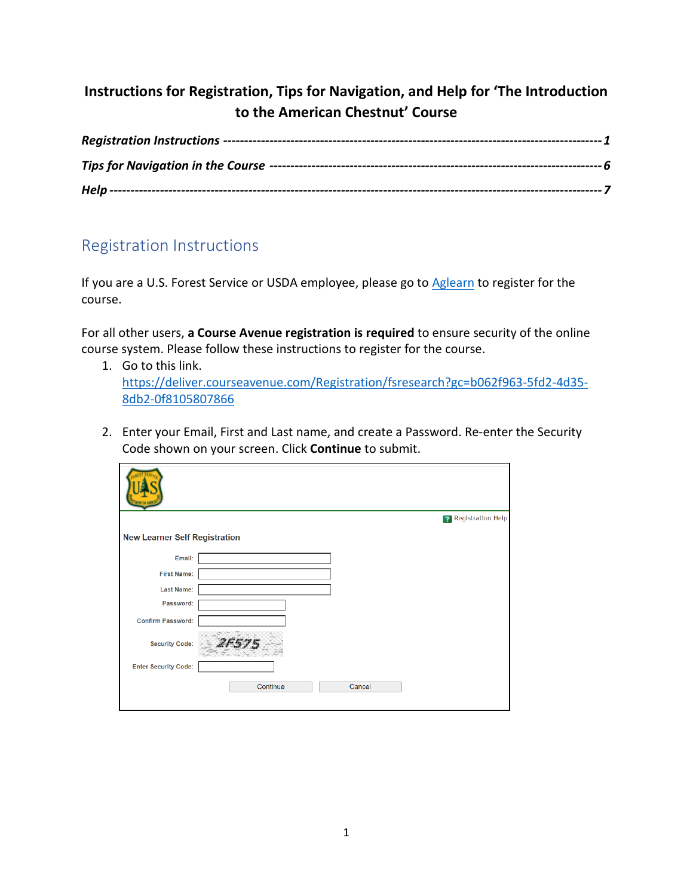## **Instructions for Registration, Tips for Navigation, and Help for 'The Introduction to the American Chestnut' Course**

## <span id="page-0-0"></span>Registration Instructions

If you are a U.S. Forest Service or USDA employee, please go t[o Aglearn](https://aglearn.usda.gov/course/view.php?id=52753) to register for the course.

For all other users, **a Course Avenue registration is required** to ensure security of the online course system. Please follow these instructions to register for the course.

- 1. Go to this link. [https://deliver.courseavenue.com/Registration/fsresearch?gc=b062f963-5fd2-4d35-](https://deliver.courseavenue.com/Registration/fsresearch?gc=b062f963-5fd2-4d35-8db2-0f8105807866) [8db2-0f8105807866](https://deliver.courseavenue.com/Registration/fsresearch?gc=b062f963-5fd2-4d35-8db2-0f8105807866)
- 2. Enter your Email, First and Last name, and create a Password. Re-enter the Security Code shown on your screen. Click **Continue** to submit.

|                                      | <b>2</b> Registration Help |
|--------------------------------------|----------------------------|
| <b>New Learner Self Registration</b> |                            |
| Email:                               |                            |
| <b>First Name:</b>                   |                            |
| <b>Last Name:</b>                    |                            |
| Password:                            |                            |
| <b>Confirm Password:</b>             |                            |
| <b>Security Code:</b>                |                            |
| <b>Enter Security Code:</b>          |                            |
|                                      | Continue<br>Cancel         |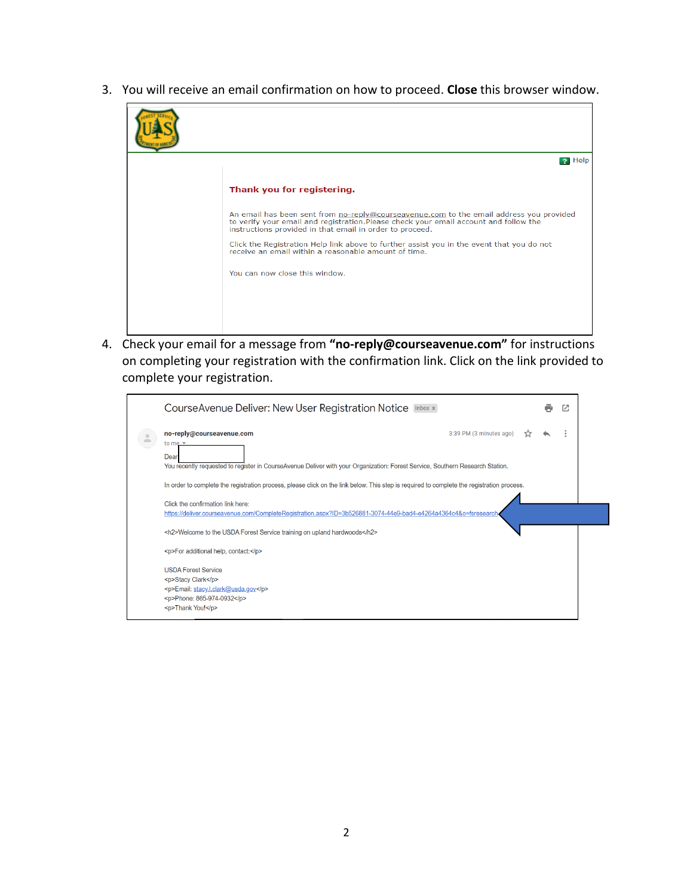3. You will receive an email confirmation on how to proceed. **Close** this browser window.



4. Check your email for a message from **"no-reply@courseavenue.com"** for instructions on completing your registration with the confirmation link. Click on the link provided to complete your registration.

| CourseAvenue Deliver: New User Registration Notice Inbox x                                                                                                                                                                                                                                         |  |  | Ø |  |
|----------------------------------------------------------------------------------------------------------------------------------------------------------------------------------------------------------------------------------------------------------------------------------------------------|--|--|---|--|
| no-reply@courseavenue.com<br>3:39 PM (3 minutes ago)<br>to me $\overline{z}$<br>Dear<br>You recently requested to register in CourseAvenue Deliver with your Organization: Forest Service, Southern Research Station.                                                                              |  |  |   |  |
| In order to complete the registration process, please click on the link below. This step is required to complete the registration process.<br>Click the confirmation link here:<br>https://deliver.courseavenue.com/CompleteRegistration.aspx?ID=3b526881-3074-44e9-bad4-e4264a4364c4&o=fsresearch |  |  |   |  |
| <h2>Welcome to the USDA Forest Service training on upland hardwoods</h2><br><p>For additional help, contact:</p>                                                                                                                                                                                   |  |  |   |  |
| <b>USDA Forest Service</b><br><p>Stacy Clark</p><br><p>Email: stacy.l.clark@usda.gov</p><br><p>Phone: 865-974-0932</p><br><p>Thank You!</p>                                                                                                                                                        |  |  |   |  |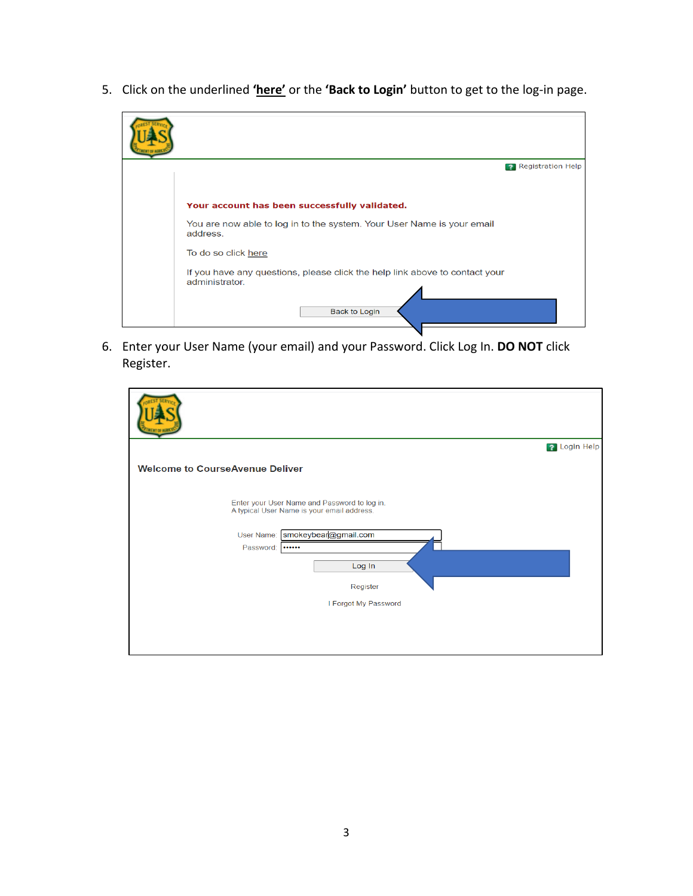5. Click on the underlined **'here'** or the **'Back to Login'** button to get to the log-in page.



6. Enter your User Name (your email) and your Password. Click Log In. **DO NOT** click Register.

|                                                                                            | ? Login Help |
|--------------------------------------------------------------------------------------------|--------------|
| <b>Welcome to CourseAvenue Deliver</b>                                                     |              |
| Enter your User Name and Password to log in.<br>A typical User Name is your email address. |              |
| User Name: smokeybear@gmail.com                                                            |              |
| Password:<br>                                                                              |              |
| Log In                                                                                     |              |
| Register                                                                                   |              |
| I Forgot My Password                                                                       |              |
|                                                                                            |              |
|                                                                                            |              |
|                                                                                            |              |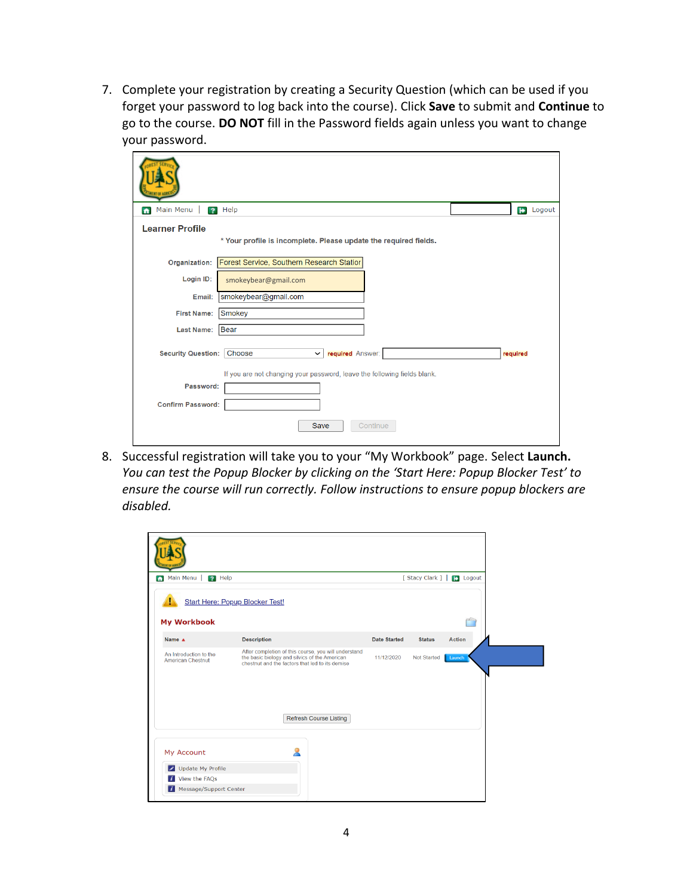7. Complete your registration by creating a Security Question (which can be used if you forget your password to log back into the course). Click **Save** to submit and **Continue** to go to the course. **DO NOT** fill in the Password fields again unless you want to change your password.

| Main Menu<br>$\overline{\mathbf{z}}$<br>n | Help                                                                     | Logout<br>$\rightarrow$ |
|-------------------------------------------|--------------------------------------------------------------------------|-------------------------|
| <b>Learner Profile</b>                    | * Your profile is incomplete. Please update the required fields.         |                         |
| Organization:                             | Forest Service, Southern Research Statior                                |                         |
| Login ID:                                 | smokeybear@gmail.com                                                     |                         |
| Email:                                    | smokeybear@gmail.com                                                     |                         |
| <b>First Name:</b>                        | Smokey                                                                   |                         |
| <b>Last Name:</b>                         | Bear                                                                     |                         |
| <b>Security Question:</b>                 | Choose<br>required Answer:<br>$\checkmark$                               | required                |
| Password:                                 | If you are not changing your password, leave the following fields blank. |                         |
| <b>Confirm Password:</b>                  |                                                                          |                         |
|                                           | <b>Save</b><br>Continue                                                  |                         |

8. Successful registration will take you to your "My Workbook" page. Select **Launch.** *You can test the Popup Blocker by clicking on the 'Start Here: Popup Blocker Test' to ensure the course will run correctly. Follow instructions to ensure popup blockers are disabled.*

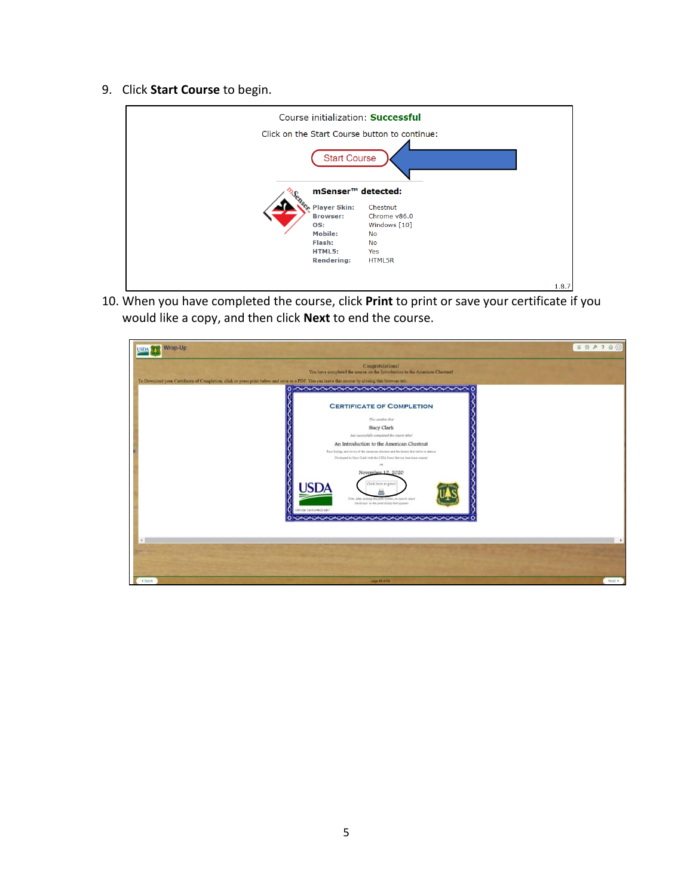9. Click **Start Course** to begin.



10. When you have completed the course, click **Print** to print or save your certificate if you would like a copy, and then click **Next** to end the course.

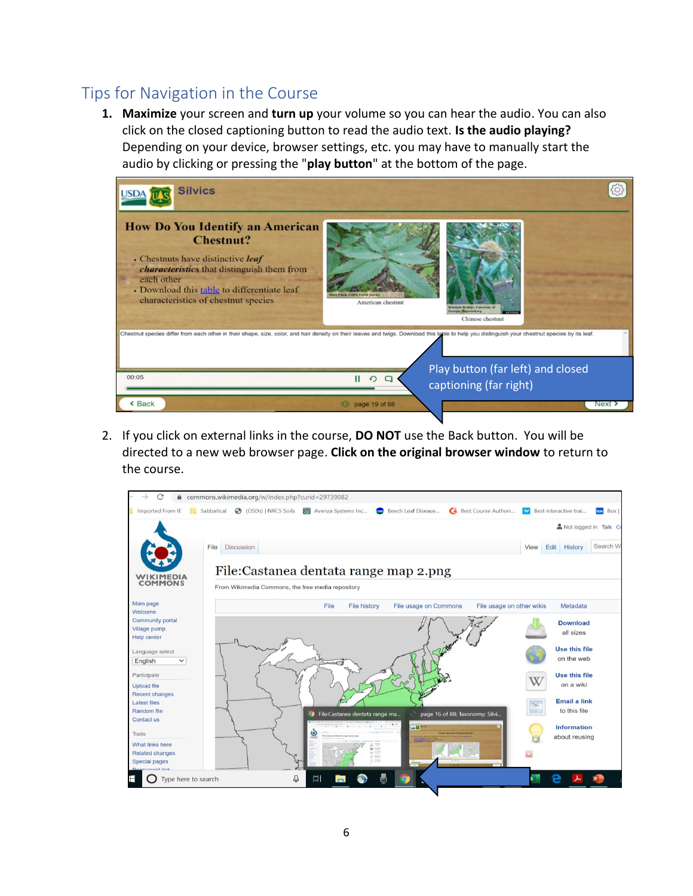## <span id="page-5-0"></span>Tips for Navigation in the Course

**1. Maximize** your screen and **turn up** your volume so you can hear the audio. You can also click on the closed captioning button to read the audio text. **Is the audio playing?**  Depending on your device, browser settings, etc. you may have to manually start the audio by clicking or pressing the "**play button**" at the bottom of the page.



2. If you click on external links in the course, **DO NOT** use the Back button. You will be directed to a new web browser page. **Click on the original browser window** to return to the course.